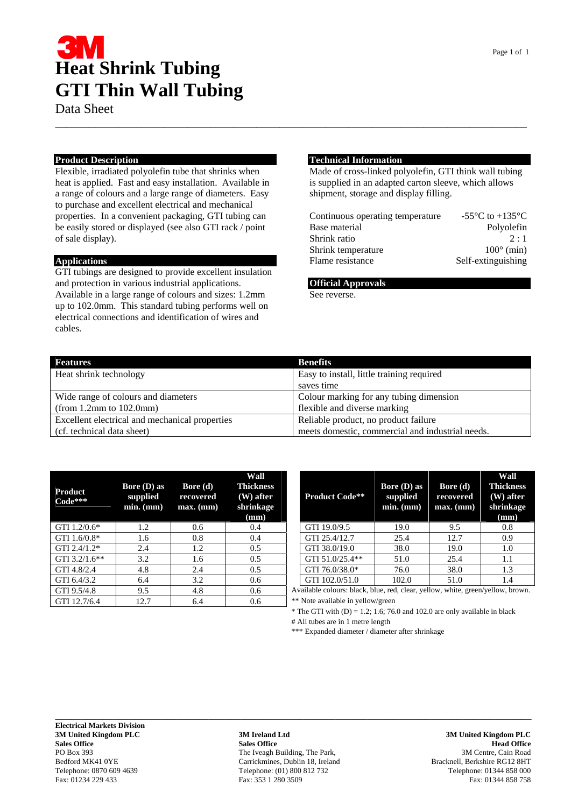## **Heat Shrink Tubing GTI Thin Wall Tubing**

Data Sheet

### **Product Description**

Flexible, irradiated polyolefin tube that shrinks when heat is applied. Fast and easy installation. Available in a range of colours and a large range of diameters. Easy to purchase and excellent electrical and mechanical properties. In a convenient packaging, GTI tubing can be easily stored or displayed (see also GTI rack / point of sale display).

#### **Applications**

GTI tubings are designed to provide excellent insulation and protection in various industrial applications. Available in a large range of colours and sizes: 1.2mm up to 102.0mm. This standard tubing performs well on electrical connections and identification of wires and cables.

#### **Technical Information**

Made of cross-linked polyolefin, GTI think wall tubing is supplied in an adapted carton sleeve, which allows shipment, storage and display filling.

| Continuous operating temperature | -55 $\mathrm{^{\circ}C}$ to +135 $\mathrm{^{\circ}C}$ |
|----------------------------------|-------------------------------------------------------|
| Base material                    | Polyolefin                                            |
| Shrink ratio                     | $2 \cdot 1$                                           |
| Shrink temperature               | $100^\circ$ (min)                                     |
| Flame resistance                 | Self-extinguishing                                    |

#### **Official Approvals**

See reverse.

| Features                                       | <b>Benefits</b>                                  |
|------------------------------------------------|--------------------------------------------------|
| Heat shrink technology                         | Easy to install, little training required        |
|                                                | saves time                                       |
| Wide range of colours and diameters            | Colour marking for any tubing dimension          |
| (from 1.2mm to $102.0$ mm)                     | flexible and diverse marking                     |
| Excellent electrical and mechanical properties | Reliable product, no product failure             |
| (cf. technical data sheet)                     | meets domestic, commercial and industrial needs. |

\_\_\_\_\_\_\_\_\_\_\_\_\_\_\_\_\_\_\_\_\_\_\_\_\_\_\_\_\_\_\_\_\_\_\_\_\_\_\_\_\_\_\_\_\_\_\_\_\_\_\_\_\_\_\_\_\_\_\_\_\_\_\_\_\_\_\_\_\_\_\_\_\_\_\_\_\_\_\_\_\_\_

| Product<br>$Code***$ | <b>Bore</b> $(D)$ as<br>supplied<br>$min.$ ( $mm$ ) | Bore $(d)$<br>recovered<br>$max.$ (mm) | Wall<br><b>Thickness</b><br>$(W)$ after<br>shrinkage<br>(mm) | <b>Product Code**</b>                                                       | Bore $(D)$ as<br>supplied<br>$min.$ ( $mm$ ) | Bore $(d)$<br>recovered<br>$max.$ (mm) | Wal<br>Thickn<br>$(W)$ af<br>shrink<br>(mm) |
|----------------------|-----------------------------------------------------|----------------------------------------|--------------------------------------------------------------|-----------------------------------------------------------------------------|----------------------------------------------|----------------------------------------|---------------------------------------------|
| GTI 1.2/0.6*         | 1.2                                                 | 0.6                                    | 0.4                                                          | GTI 19.0/9.5                                                                | 19.0                                         | 9.5                                    | 0.8                                         |
| GTI $1.6/0.8*$       | 1.6                                                 | 0.8                                    | 0.4                                                          | GTI 25.4/12.7                                                               | 25.4                                         | 12.7                                   | 0.9                                         |
| GTI $2.4/1.2*$       | 2.4                                                 | 1.2                                    | 0.5                                                          | GTI 38.0/19.0                                                               | 38.0                                         | 19.0                                   | 1.0                                         |
| GTI $3.2/1.6**$      | 3.2                                                 | 1.6                                    | 0.5                                                          | GTI 51.0/25.4**                                                             | 51.0                                         | 25.4                                   | 1.1                                         |
| GTI 4.8/2.4          | 4.8                                                 | 2.4                                    | 0.5                                                          | GTI 76.0/38.0*                                                              | 76.0                                         | 38.0                                   | 1.3                                         |
| GTI 6.4/3.2          | 6.4                                                 | 3.2                                    | 0.6                                                          | GTI 102.0/51.0                                                              | 102.0                                        | 51.0                                   | 1.4                                         |
| GTI 9.5/4.8          | 9.5                                                 | 4.8                                    | 0.6                                                          | Available colours: black, blue, red, clear, yellow, white, green/yellow, br |                                              |                                        |                                             |
| GTI 12.7/6.4         | 12.7                                                | 6.4                                    | 0.6                                                          | ** Note available in yellow/green                                           |                                              |                                        |                                             |

| <b>Product Code**</b> | Bore (D) as<br>supplied<br>$min.$ ( $mm$ ) | Bore (d)<br>recovered<br>$max.$ (mm) | Wall<br><b>Thickness</b><br>$(W)$ after<br>shrinkage<br>(mm) |
|-----------------------|--------------------------------------------|--------------------------------------|--------------------------------------------------------------|
| GTI 19.0/9.5          | 19.0                                       | 9.5                                  | 0.8                                                          |
| GTI 25.4/12.7         | 25.4                                       | 12.7                                 | 0.9                                                          |
| GTI 38.0/19.0         | 38.0                                       | 19.0                                 | 1.0                                                          |
| GTI 51.0/25.4**       | 51.0                                       | 25.4                                 | 1.1                                                          |
| GTI 76.0/38.0*        | 76.0                                       | 38.0                                 | 1.3                                                          |
| GTI 102.0/51.0        | 102.0                                      | 51.0                                 | 1.4                                                          |

Available colours: black, blue, red, clear, yellow, white, green/yellow, brown.

\* The GTI with  $(D) = 1.2$ ; 1.6; 76.0 and 102.0 are only available in black

# All tubes are in 1 metre length

\*\*\* Expanded diameter / diameter after shrinkage

**3M United Kingdom PLC 3M Ireland Ltd 3M United Kingdom PLC Sales Office Sales Office Sales Office Sales Office Sales Office Sales Office Sales Office Sales Office Sales Office** PO Box 393 **The Iveagh Building, The Park,** 393 3M Centre, Cain Road<br>Bedford MK41 0YE **Starteger Cain Road** Carrickmines, Dublin 18, Ireland Bracknell, Berkshire RG12 8HT Bedford MK41 0YE<br>
Telephone: 0870 609 4639<br>
Telephone: (01) 800 812 732 Telephone: 0870 609 4639 Telephone: (01) 800 812 732 Telephone: 01344 858 000 Fax: 01234 229 433 Telephone: 01344 858 758 Fax: 01234 229 433 Fax: 353 1 280 3509

**\_\_\_\_\_\_\_\_\_\_\_\_\_\_\_\_\_\_\_\_\_\_\_\_\_\_\_\_\_\_\_\_\_\_\_\_\_\_\_\_\_\_\_\_\_\_\_\_\_\_\_\_\_\_\_\_\_\_\_\_\_\_\_\_\_\_\_\_\_\_\_\_\_\_\_\_\_\_\_\_\_\_\_\_\_\_\_\_\_\_**